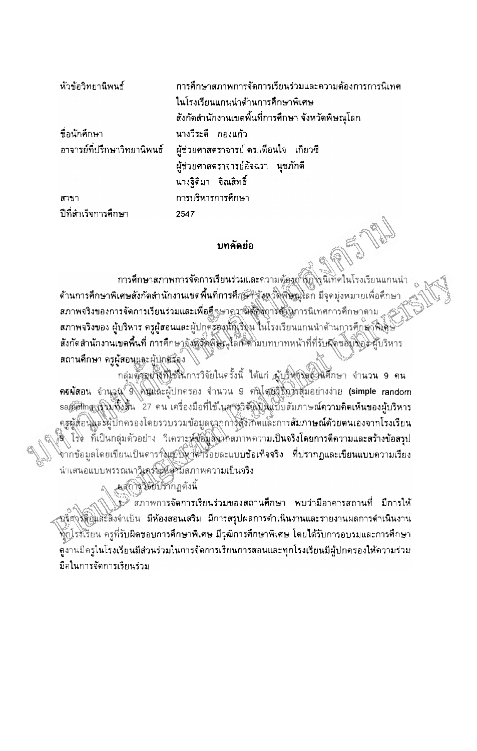| หัวข้อวิทยานิพนธ์   | การศึกษาสภาพการจัดการเรียนร่วมและความต้องการการนิเทศ               |
|---------------------|--------------------------------------------------------------------|
|                     | ในโรงเรียนแกนนำด้านการศึกษาพิเศษ                                   |
|                     | ้สังกัดสำนักงานเขตพื้นที่การศึกษา จังหวัดพิษณุโลก                  |
| ชื่อนักศึกษา        | นางวีระดี กองแก้ว                                                  |
|                     | อาจารย์ที่ปรึกษาวิทยานิพนธ์ ผู้ช่วยศาสตราจารย์ คร.เดือนใจ เกี่ยวซี |
|                     | ผู้ช่วยศาสตราจารย์อัจฉรา นุชภักดี                                  |
|                     | นางจิติมา จิณสิทธิ์                                                |
| ิสาขา               | การบริหารการศึกษา                                                  |
| ปีที่สำเร็จการศึกษา | 2547                                                               |

## บทคัดย่อ

การศึกษาสภาพการจัดการเรียนร่วมและความตู้ธงการการนิเทศในโรงเรียนแกนนำ ด้านการศึกษาพิเศษสังกัดสำนักงานเขตพื้นที่การศึกษา จังหวัดพิษัญโลก มีจุดมุ่งหมายเพื่อคึกษา สภาพจริงของการจัดการเรียนร่วมและเพื่อศึกษาความต้องการตั้งนการนิเทศการศึกษาดาม สภาพจริงของ ผู้บริหาร ครูผู้สอนและผู้ปกครองนักเรียน ในโรงเรียนแกนนำด้านการคึกตาฟิเดิษ สังกัดสำนักงานเขตพื้นที่ การศึกษาจังหวัดพิษณุโลก ตำมบทบาทหน้าที่ที่รับผัดขอบที่อะ ผู้บริหาร สถานศึกษา ครูผู้สอนและผู้ปกตรอง

กลุ่มตัวอย่างที่ไข้ในการวิจัยในครั้งนี้ ได้แก่ ผู้บริษฐานตัวหนึ่งนี้ก็บา จำนวน 9 คน ครผัสอน จำนวน อิ คินแกะผู้ปกครอง จำนวน 9 ศนีโสยีจิติที่รัฐมอย่างง่าย (simple random sampting (รั่ว) ทั้งสิ้น 27 คน เครื่องมือที่ใช้ในสารวิจันโนแบบสัมภาษณ์ความคิดเห็นของผู้บริหาร ้ครูผู้สอนและผู้ปกครองโดยรวบรวมข้อมูลจากาจสิ่งเกิดและการ**สัมภาษณ์ด้วยตนเองจากโรงเรียน** 3 โร่ง ที่เป็นกลุ่มตัวอย่าง วิเคราะห์ข้อมูลจะหลวาพความเป็นจริงโดยการดีความและสร้างข้อสรุป จากข้อมูลโดยเขียนเป็นดาราจิแขป์ทำที่วิรัอยละแบบข้อเทิจจริง ที่ปรากฏและเขียนแบบความเรียง นำเสนอแบบพรรณนาวิเคร็จะที่ดูวันสภาพความเป็นจริง

แสการวิจัยปรากฏดังนี้

<sup>ง</sup> สภาพการจัดการเรียนร่วมของสถานศึกษา พบว่ามีอาคารสถานที่ มีการให้ ชริสุงุรัติยินสะสิ่งจำเป็น มีห้องสอนเสริม มีการสรุปผลการดำเนินงานและรายงานผลการดำเนินงาน ทั่งโรงเรียน ครูที่รับผิดขอบการศึกษาพิเศษ มีวุฒิการศึกษาพิเศษ โดยได้รับการอบรมและการศึกษา ดูงานมีครูในโรงเรียนมีส่วนร่วมในการจัดการเรียนการสอนและทุกโรงเรียนมีผู้ปกครองให้ความร่วม มือในการจัดการเรียนร่วม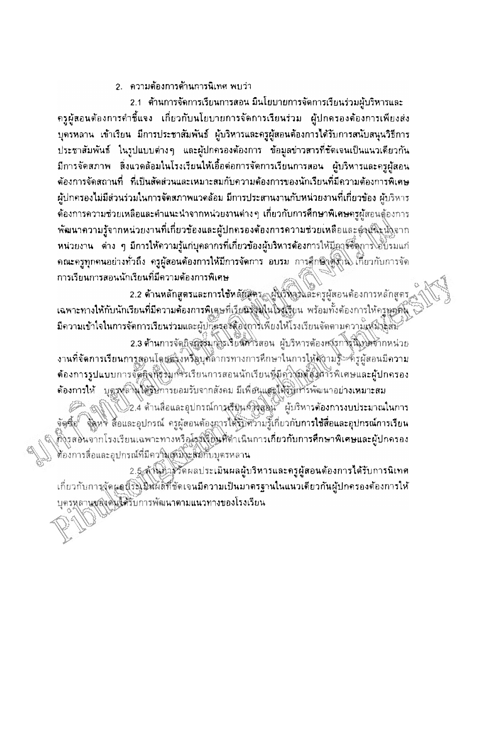# ่ 2. - ความต้องการด้านการนิเทศ พบว่า

2.1 ด้านการจัดการเรียนการสอน มีนโยบายการจัดการเรียนร่วมผู้บริหารและ ี ครูผู้สอนต้องการคำชี้แจง เกี่ยวกับนโยบายการจัดการเรียนร่วม ผู้ปกครองต้องการเพียงส่ง บุตรหลาน เข้าเรียน มีการประชาสัมพันธ์ ผู้บริหารและครูผู้สอนต้องการได้รับการสนับสนุนวิธีการ ี่ ประชาสัมพันธ์ ในรูปแบบต่างๆ และผู้ปกครองต้องการ ข้อมูลข่าวสารที่ชัดเจนเป็นแนวเดียวกัน มีการจัดสภาพ สิ่งแวดล้อมในโรงเรียนให้เอื้อต่อการจัดการเรียนการสอน ผู้บริหารและครูผู้สอน ด้องการจัดสถานที่ ที่เป็นสัดส่วนและเหมาะสมกับความต้องการของนักเรียนที่มีความต้องการพิเศษ ่ผู้ปกครองไม่มีส่วนร่วมในการจัดสภาพแวดล้อม มีการประสานงานกับหน่วยงานที่เกี่ยวข้อง ผู้บริหาร ้ต้องการความช่วยเหลือและคำแนะนำจากหน่วยงานต่าง ๆ เกี่ยวกับการศึกษาพิเศษครูผู้สอนดู้องการ ้พัฒนาความรู้จากหน่วยงานที่เกี่ยวข้องและผู้ปกครองค้องการความช่วยเหลือและตู<sub>้ใ</sub>ปนิะนิ่งจาก หน่วยงาน ต่าง ๆ มีการให้ความรู้แก่บุคลากรที่เกี่ยวข้องผู้บริหารต้องการให้มีการตั้งการไอ้บรมแก่ ดณะครูทุกคนอย่างทั่วถึง ครูผู้สอนต้องการให้มีการจัดการ อบรม การศึกษังดังวิน เกี่ยวกับการจัด ่การเรียนการสอนนักเรียนที่มีความต้องการพิเศษ

2.2 **ด้านหลักสูตรและการใช้หลัยสูต**ร<sub>์สา</sub>ผู้บุรีที่ลูงและครูผู้สอนต้องการหลักสูตร ้เฉพาะทางให้กับนักเรียนที่มีความต้องการพิเศษที่เรียนรัฐมุในโรงเรียน พร้อมทั้งต้องการให้ครูทูกตั้ง มีความเข้าใจในการจัดการเรียนร่วมและผู้ปก๊อรองคืองการเพียงให้โรงเรียนจัดตามความเหม็วลัสนั้

2.3 ด้านการจัดกิจกรุ่งมาโรเรียนศารสอน ผู้บริหารต้องหารการณ์โปรดากหน่วย งานที่จัดการเรียนการสอนโดยตรังหรือบุคลากรทางการศึกษาในการให้สถามรู้ คัรผู้สอนมีความ •ค้องการรูปแบบการจัดคิจที่ร่วมการใยนการสอนนักเรียนที่มีดาวิจัยตัวนิทวิพิเศษและผู้ปกครอง ด้องการให้ บุตรงล์ พิได้รับการยอมรับจากสังคม มีเพื่อขนเสรได้รับการพัฒนาอย่างเหมาะสม

82.4 ด้านสื่อและอุปกรณ์การเรียนการลอน ผู้บริหารต้องการงบประมาณในการ ขัดซึ่ง "ขั้งหา สื่อและอุปกรณ์ ครูผู้สอนต้องคารได้รับความรู้เกี่ยวกับกา**รใช้สื่อและอุปกรณ์การเรียน** คั้งรูสอนจากโรงเรียนเฉพาะทางหรือโรมิรัยในที่ตำเนินการเกี่ยวกับการศึกษาพิเศษและผู้ปกครอง ต้องการสื่อและอุปกรณ์ที่มีความเหมิงะสัมกับบุตรหลาน

2.5 ตัวนตัวรวัดผลประเมินผลผู้บริหารและครูผู้สอนต้องการได้รับการนิเทศ ้เกี่ยวกับการจัดผูลนี้ระโมมนัดที่ชัดเจนมีความเป็นมาตรฐานในแนวเดียวกันผู้ปกครองต้องการให้ บุตรหลานของดินใต้รับการพัฒนาตามแนวทางของโรงเรียน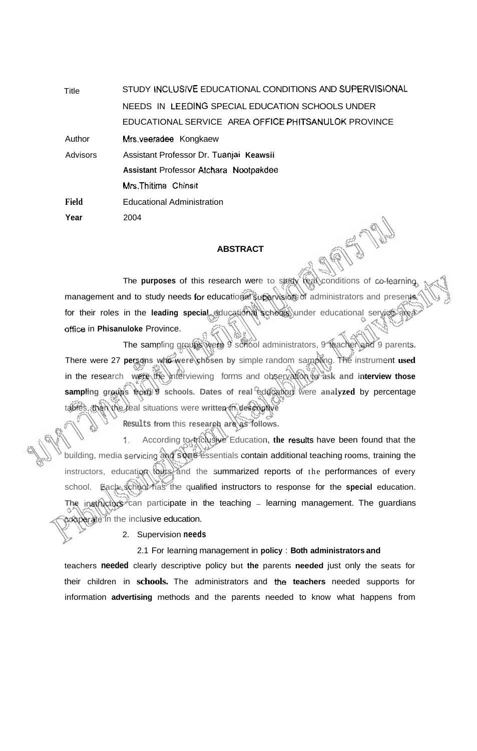Title STUDY lNCLUSlVE EDUCATIONAL CONDITIONS AND **SUPERVISIONAL**  NEEDS IN LEEDING SPECIAL EDUCATION SCHOOLS UNDER EDUCATIONAL SERVICE AREA **OFFICE PHITSANULOK** PROVINCE

Author **Mrs.veeradee** Kongkaew

2004

**Field**  Advisors Assistant Professor Dr. Tuanjai **Keawsii Assistant** Professor **Atchara Nootpakdee**  Mrs.Thitima Chinsit Educational Administration

**Year** 

#### **ABSTRACT**

**RAN** 

The **purposes** of this research were to study real conditions of co-learning management and to study needs for educational supervision of administrators and presents for their roles in the leading special educational schedis under educational service area office in **Phisanuloke** Province.

The sampling groups were 9 school administrators, 9 teacher and 9 parents. There were 27 **persons who were chosen by** simple random sampling. The instrument **used**  in the research **were** the interviewing forms and observation to **ask and interview those**  sampling groups tools 9 schools. Dates of real education were analyzed by percentage tables, then the real situations were written in descriptive

**Results from this research are as follows.** 

1. According to Inclusive Education, **the resutts** have been found that the building, media sewicing and **some** essentials contain additional teaching rooms, training the instructors, education tours and the summarized reports of the performances of every school. Each school has the qualified instructors to response for the **special** education. The instructors can participate in the teaching - learning management. The guardians **cooperate** in the inclusive education.

2. Supervision **needs** 

### 2.1 For learning management in **policy** : **Both administrators and**

teachers **needed** clearly descriptive policy but **the** parents **needed** just only the seats for their children in **schools.** The administrators and **the teachers** needed supports for information **advertising** methods and the parents needed to know what happens from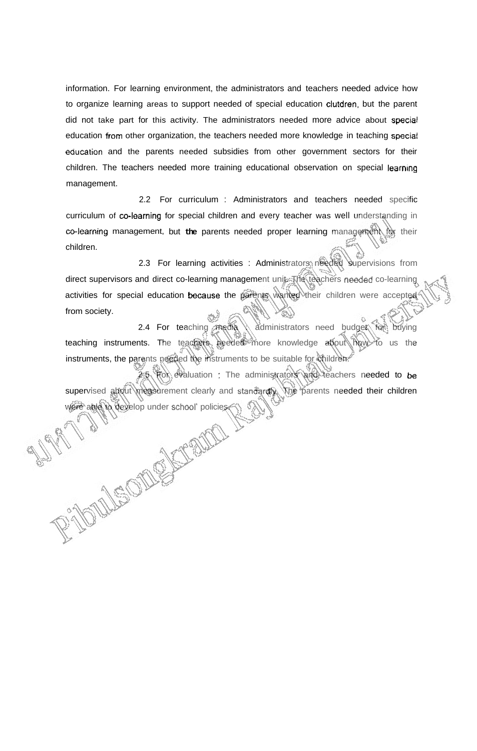information. For learning environment, the administrators and teachers needed advice how to organize learning areas to support needed of special education clutdren, but the parent did not take part for this activity. The administrators needed more advice about special education from other organization, the teachers needed more knowledge in teaching speciat education and the parents needed subsidies from other government sectors for their children. The teachers needed more training educational observation on special learning management.

2.2 For curriculum : Administrators and teachers needed specific curriculum of co-learning for special children and every teacher was well understanding in co-learning management, but the parents needed proper learning management for their children.

2.3 For learning activities : Administrators needed supervisions from direct supervisors and direct co-learning management unite The teachers needed co-learning activities for special education because the parents wanted their children were accepted from society.

2.4 For teaching media \\ administrators need budget for buying teaching instruments. The teachers needed more knowledge about how to us the instruments, the parents needed the instruments to be suitable for children. 2.5 For evaluation : The administrators and teachers needed to **be** 

supervised about measurement clearly and standardly. The parents needed their children were able to develop under school' policies.